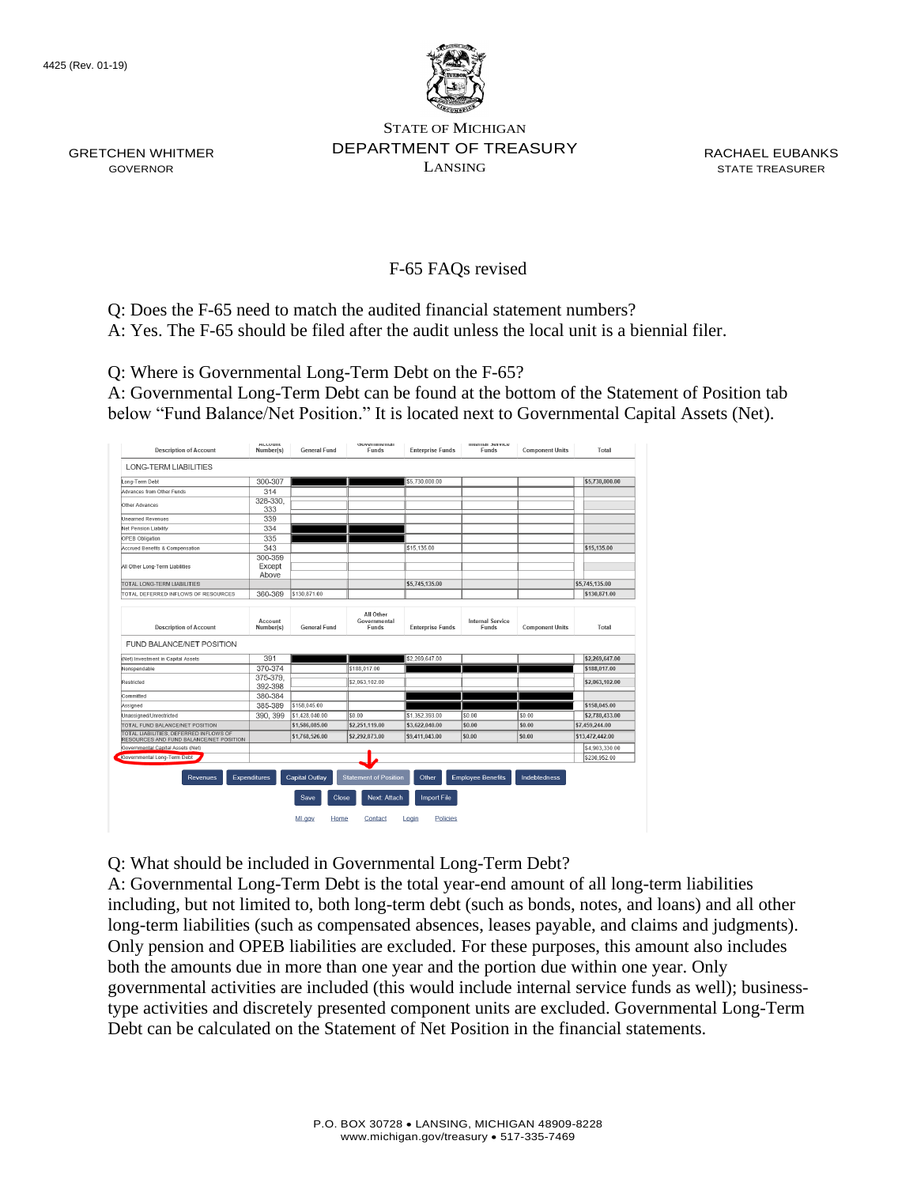GRETCHEN WHITMER GOVERNOR



STATE OF MICHIGAN DEPARTMENT OF TREASURY LANSING

RACHAEL EUBANKS STATE TREASURER

## F-65 FAQs revised

Q: Does the F-65 need to match the audited financial statement numbers?

A: Yes. The F-65 should be filed after the audit unless the local unit is a biennial filer.

Q: Where is Governmental Long-Term Debt on the F-65?

A: Governmental Long-Term Debt can be found at the bottom of the Statement of Position tab below "Fund Balance/Net Position." It is located next to Governmental Capital Assets (Net).

| <b>Description of Account</b>                                                     | <b>MULUUIIL</b><br>Number(s) | <b>General Fund</b>                    | <b>OUVETIMIERIGE</b><br>Funds                | <b>Enterprise Funds</b>     | <b>Internal Jervice</b><br>Funds | <b>Component Units</b> | Total           |
|-----------------------------------------------------------------------------------|------------------------------|----------------------------------------|----------------------------------------------|-----------------------------|----------------------------------|------------------------|-----------------|
| <b>LONG-TERM LIABILITIES</b>                                                      |                              |                                        |                                              |                             |                                  |                        |                 |
| Long-Term Debt                                                                    | 300-307                      |                                        |                                              | \$5,730,000.00              |                                  |                        | \$5,730,000.00  |
| Advances from Other Funds                                                         | 314                          |                                        |                                              |                             |                                  |                        |                 |
| Other Advances                                                                    | 328-330,<br>333              |                                        |                                              |                             |                                  |                        |                 |
| Unearned Revenues                                                                 | 339                          |                                        |                                              |                             |                                  |                        |                 |
| <b>Net Pension Liability</b>                                                      | 334                          |                                        |                                              |                             |                                  |                        |                 |
| OPEB Obligation                                                                   | 335                          |                                        |                                              |                             |                                  |                        |                 |
| Accrued Benefits & Compensation                                                   | 343                          |                                        |                                              | \$15,135.00                 |                                  |                        | \$15,135.00     |
| All Other Long-Term Liabilities                                                   | 300-359<br>Except<br>Above   |                                        |                                              |                             |                                  |                        |                 |
| TOTAL LONG-TERM LIABILITIES                                                       |                              |                                        |                                              | \$5,745,135.00              |                                  |                        | \$5,745,135.00  |
| TOTAL DEFERRED INFLOWS OF RESOURCES                                               | 360-369                      | \$130,871.00                           |                                              |                             |                                  |                        | \$130,871.00    |
| <b>Description of Account</b><br>FUND BALANCE/NET POSITION                        | Account<br>Number(s)         | <b>General Fund</b>                    | All Other<br>Governmental<br>Funds           | <b>Enterprise Funds</b>     | <b>Internal Service</b><br>Funds | <b>Component Units</b> | Total           |
| (Net) Investment in Capital Assets                                                | 391                          |                                        |                                              | \$2,269,647.00              |                                  |                        | \$2,269,647.00  |
| Nonspendable                                                                      | 370-374                      |                                        | \$188,017.00                                 |                             |                                  |                        | \$188,017.00    |
| Restricted                                                                        | 375-379.<br>392-398          |                                        | \$2,063,102.00                               |                             |                                  |                        | \$2,063,102.00  |
| Committed                                                                         | 380-384                      |                                        |                                              |                             |                                  |                        |                 |
| Assigned                                                                          | 385-389                      | \$158,045.00                           |                                              |                             |                                  |                        | \$158,045.00    |
| Unassigned/Unrestricted                                                           | 390, 399                     | \$1,428,040.00                         | \$0.00                                       | \$1.352.393.00              | \$0.00                           | \$0.00                 | \$2,780,433,00  |
| TOTAL FUND BALANCE/NET POSITION                                                   |                              | \$1,586,085,00                         | \$2,251,119.00                               | \$3,622,040.00              | \$0.00                           | \$0.00                 | \$7,459,244,00  |
| TOTAL LIABILITIES, DEFERRED INFLOWS OF<br>RESOURCES AND FUND BALANCE/NET POSITION |                              | \$1,768,526,00                         | \$2,292,873,00                               | \$9,411,043,00              | \$0.00                           | \$0.00                 | \$13,472,442.00 |
| Governmental Capital Assets (Net)                                                 |                              |                                        |                                              |                             |                                  |                        | \$4,903,330.00  |
| Governmental Long-Term Debt                                                       |                              |                                        |                                              |                             |                                  |                        | \$230.952.00    |
| <b>Revenues</b>                                                                   | <b>Expenditures</b>          | <b>Capital Outlay</b><br>Close<br>Save | <b>Statement of Position</b><br>Next: Attach | Other<br><b>Import File</b> | <b>Employee Benefits</b>         | Indebtedness           |                 |

Q: What should be included in Governmental Long-Term Debt?

A: Governmental Long-Term Debt is the total year-end amount of all long-term liabilities including, but not limited to, both long-term debt (such as bonds, notes, and loans) and all other long-term liabilities (such as compensated absences, leases payable, and claims and judgments). Only pension and OPEB liabilities are excluded. For these purposes, this amount also includes both the amounts due in more than one year and the portion due within one year. Only governmental activities are included (this would include internal service funds as well); businesstype activities and discretely presented component units are excluded. Governmental Long-Term Debt can be calculated on the Statement of Net Position in the financial statements.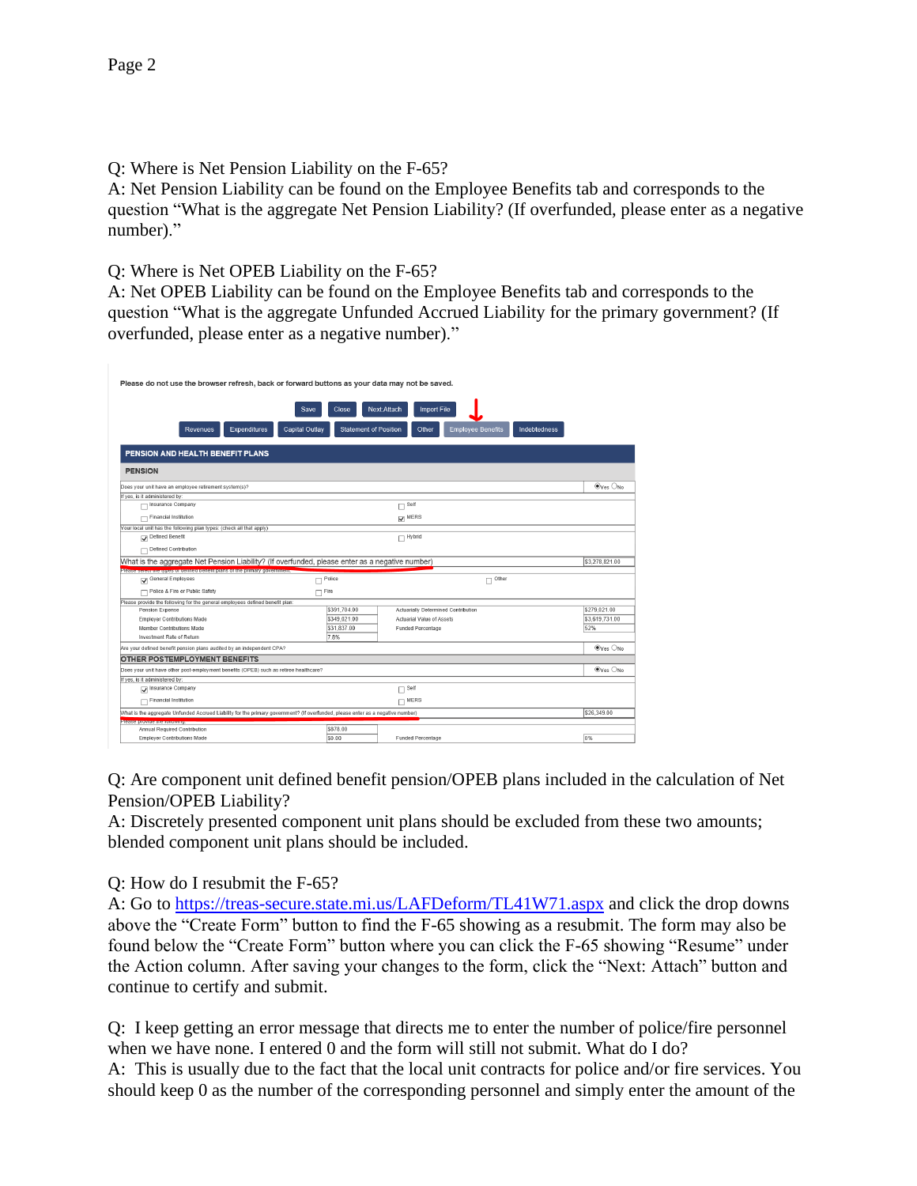Q: Where is Net Pension Liability on the F-65?

A: Net Pension Liability can be found on the Employee Benefits tab and corresponds to the question "What is the aggregate Net Pension Liability? (If overfunded, please enter as a negative number)."

Q: Where is Net OPEB Liability on the F-65?

A: Net OPEB Liability can be found on the Employee Benefits tab and corresponds to the question "What is the aggregate Unfunded Accrued Liability for the primary government? (If overfunded, please enter as a negative number)."

| Please do not use the browser refresh, back or forward buttons as your data may not be saved.                                   |                                                  |                                                                   |                                |  |  |
|---------------------------------------------------------------------------------------------------------------------------------|--------------------------------------------------|-------------------------------------------------------------------|--------------------------------|--|--|
|                                                                                                                                 | Close<br>Save                                    | Next:Attach<br><b>Import File</b>                                 |                                |  |  |
| <b>Expenditures</b><br><b>Revenues</b>                                                                                          | <b>Capital Outlay</b>                            | <b>Statement of Position</b><br><b>Employee Benefits</b><br>Other | Indebtedness                   |  |  |
| PENSION AND HEALTH BENEFIT PLANS                                                                                                |                                                  |                                                                   |                                |  |  |
| <b>PENSION</b>                                                                                                                  |                                                  |                                                                   |                                |  |  |
| Does your unit have an employee retirement system(s)?                                                                           |                                                  |                                                                   | $\odot$ Yes $\odot$ No         |  |  |
| If yes, is it administered by:                                                                                                  |                                                  |                                                                   |                                |  |  |
| Insurance Company<br>п                                                                                                          | $\square$ Self                                   |                                                                   |                                |  |  |
| Financial Institution                                                                                                           | MERS <sub></sub>                                 |                                                                   |                                |  |  |
| Your local unit has the following plan types: (check all that apply)                                                            |                                                  |                                                                   |                                |  |  |
| Defined Benefit<br>$\Box$ Hybrid                                                                                                |                                                  |                                                                   |                                |  |  |
| Defined Contribution                                                                                                            |                                                  |                                                                   |                                |  |  |
| (What is the aggregate Net Pension Liability? (If overfunded, please enter as a negative number)                                |                                                  |                                                                   | \$3,278.821.00                 |  |  |
| Please select the types of defined benefit plans of the primary government.                                                     |                                                  |                                                                   |                                |  |  |
| General Employees                                                                                                               | Police                                           | Other                                                             |                                |  |  |
| Police & Fire or Public Safety                                                                                                  | Fire<br>п                                        |                                                                   |                                |  |  |
| Please provide the following for the general employees defined benefit plan:                                                    |                                                  |                                                                   |                                |  |  |
| Pension Expense                                                                                                                 | \$391,704.00                                     | Actuarially Determined Contribution                               | \$279,021.00<br>\$3.619.731.00 |  |  |
| <b>Employer Contributions Made</b>                                                                                              | \$349.021.00<br><b>Actuarial Value of Assets</b> |                                                                   |                                |  |  |
| Member Contributions Made                                                                                                       | \$31.837.00<br>Funded Percentage                 |                                                                   |                                |  |  |
| Investment Rate of Return                                                                                                       | 7.8%                                             |                                                                   |                                |  |  |
| Are your defined benefit pension plans audited by an independent CPA?                                                           |                                                  |                                                                   | $\odot$ Yes $\odot$ No         |  |  |
| OTHER POSTEMPLOYMENT BENEFITS                                                                                                   |                                                  |                                                                   |                                |  |  |
| Does your unit have other post-employment benefits (OPEB) such as retiree healthcare?                                           |                                                  |                                                                   | $\odot$ Yes $\bigcirc$ No      |  |  |
| If yes, is it administered by                                                                                                   |                                                  |                                                                   |                                |  |  |
| Insurance Company                                                                                                               |                                                  | Self                                                              |                                |  |  |
| <b>Financial Institution</b>                                                                                                    |                                                  | $\Box$ MERS                                                       |                                |  |  |
| What is the aggregate Unfunded Accrued Liability for the primary government? (If overfunded, please enter as a negative number) |                                                  |                                                                   | \$26.349.00                    |  |  |
| Please provide the rollowing.                                                                                                   |                                                  |                                                                   |                                |  |  |
| Annual Required Contribution                                                                                                    | \$878.00                                         |                                                                   |                                |  |  |
| <b>Employer Contributions Made</b><br>\$0.00<br><b>Funded Percentage</b><br>0%                                                  |                                                  |                                                                   |                                |  |  |

Q: Are component unit defined benefit pension/OPEB plans included in the calculation of Net Pension/OPEB Liability?

A: Discretely presented component unit plans should be excluded from these two amounts; blended component unit plans should be included.

Q: How do I resubmit the F-65?

A: Go to<https://treas-secure.state.mi.us/LAFDeform/TL41W71.aspx> and click the drop downs above the "Create Form" button to find the F-65 showing as a resubmit. The form may also be found below the "Create Form" button where you can click the F-65 showing "Resume" under the Action column. After saving your changes to the form, click the "Next: Attach" button and continue to certify and submit.

Q: I keep getting an error message that directs me to enter the number of police/fire personnel when we have none. I entered 0 and the form will still not submit. What do I do?

A: This is usually due to the fact that the local unit contracts for police and/or fire services. You should keep 0 as the number of the corresponding personnel and simply enter the amount of the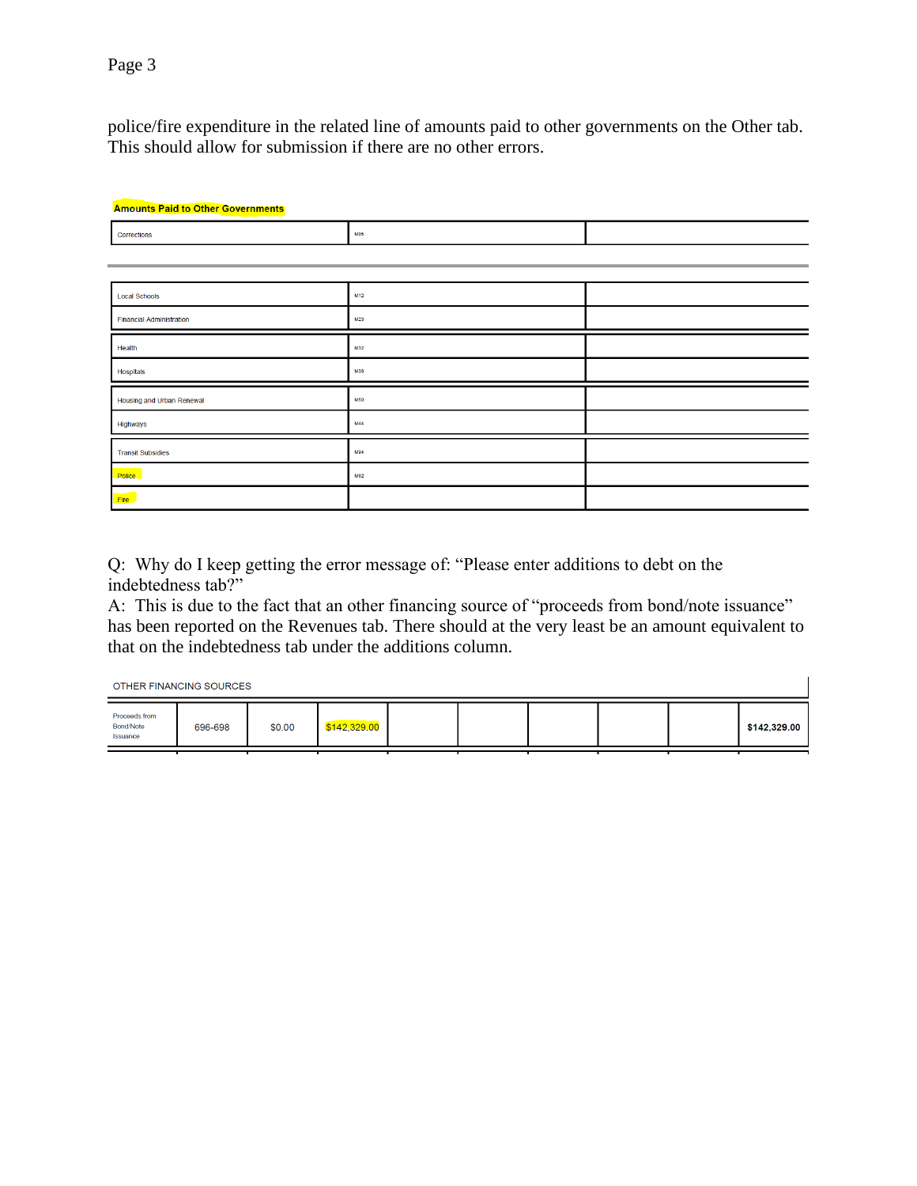police/fire expenditure in the related line of amounts paid to other governments on the Other tab. This should allow for submission if there are no other errors.

| <b>Amounts Paid to Other Governments</b> |            |  |  |  |  |  |  |
|------------------------------------------|------------|--|--|--|--|--|--|
| Corrections                              | <b>MD5</b> |  |  |  |  |  |  |
|                                          |            |  |  |  |  |  |  |
|                                          |            |  |  |  |  |  |  |
| <b>Local Schools</b>                     | M12        |  |  |  |  |  |  |
| <b>Financial Administration</b>          | M23        |  |  |  |  |  |  |
| Health                                   | M32        |  |  |  |  |  |  |
| <b>Hospitals</b>                         | M38        |  |  |  |  |  |  |
| Housing and Urban Renewal                | <b>M50</b> |  |  |  |  |  |  |
| Highways                                 | M44        |  |  |  |  |  |  |
| <b>Transit Subsidies</b>                 | <b>M94</b> |  |  |  |  |  |  |
| <b>Police</b>                            | M62        |  |  |  |  |  |  |
| Fire                                     |            |  |  |  |  |  |  |

Q: Why do I keep getting the error message of: "Please enter additions to debt on the indebtedness tab?"

A: This is due to the fact that an other financing source of "proceeds from bond/note issuance" has been reported on the Revenues tab. There should at the very least be an amount equivalent to that on the indebtedness tab under the additions column.

OTHER FINANCING SOURCES

| Proceeds from<br>Bond/Note<br>Issuance | 696-698 | \$0.00 | \$142,329.00 |  |  | \$142,329.00 |
|----------------------------------------|---------|--------|--------------|--|--|--------------|
|                                        |         |        |              |  |  |              |